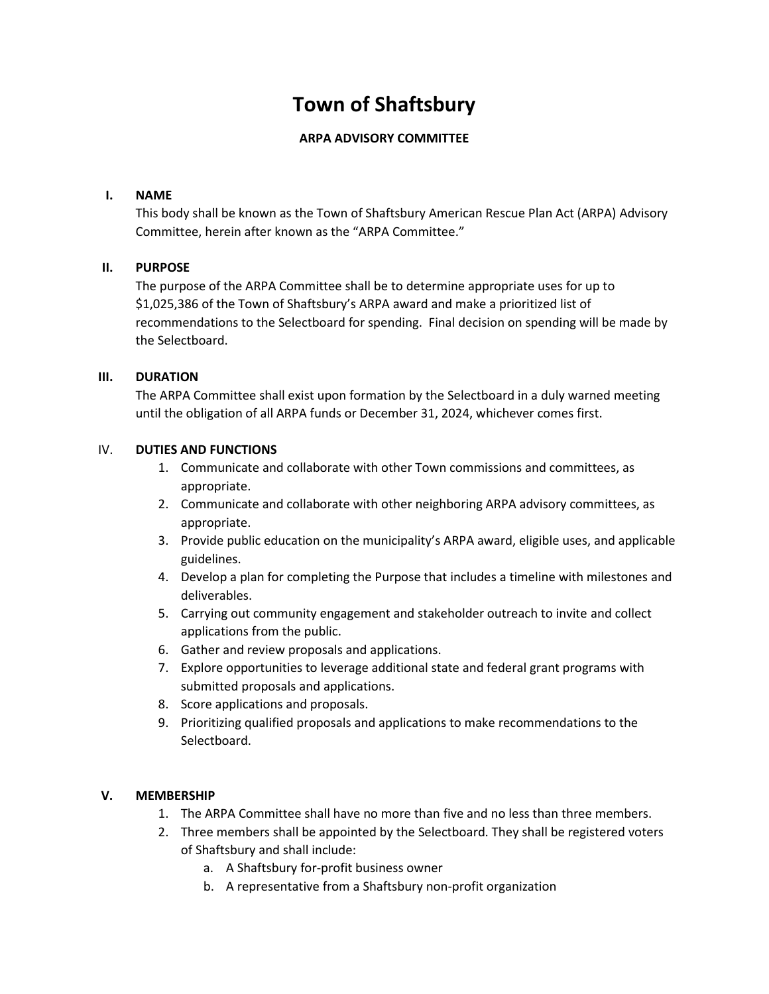# **Town of Shaftsbury**

## **ARPA ADVISORY COMMITTEE**

#### **I. NAME**

This body shall be known as the Town of Shaftsbury American Rescue Plan Act (ARPA) Advisory Committee, herein after known as the "ARPA Committee."

#### **II. PURPOSE**

The purpose of the ARPA Committee shall be to determine appropriate uses for up to \$1,025,386 of the Town of Shaftsbury's ARPA award and make a prioritized list of recommendations to the Selectboard for spending. Final decision on spending will be made by the Selectboard.

#### **III. DURATION**

The ARPA Committee shall exist upon formation by the Selectboard in a duly warned meeting until the obligation of all ARPA funds or December 31, 2024, whichever comes first.

#### IV. **DUTIES AND FUNCTIONS**

- 1. Communicate and collaborate with other Town commissions and committees, as appropriate.
- 2. Communicate and collaborate with other neighboring ARPA advisory committees, as appropriate.
- 3. Provide public education on the municipality's ARPA award, eligible uses, and applicable guidelines.
- 4. Develop a plan for completing the Purpose that includes a timeline with milestones and deliverables.
- 5. Carrying out community engagement and stakeholder outreach to invite and collect applications from the public.
- 6. Gather and review proposals and applications.
- 7. Explore opportunities to leverage additional state and federal grant programs with submitted proposals and applications.
- 8. Score applications and proposals.
- 9. Prioritizing qualified proposals and applications to make recommendations to the Selectboard.

## **V. MEMBERSHIP**

- 1. The ARPA Committee shall have no more than five and no less than three members.
- 2. Three members shall be appointed by the Selectboard. They shall be registered voters of Shaftsbury and shall include:
	- a. A Shaftsbury for-profit business owner
	- b. A representative from a Shaftsbury non-profit organization